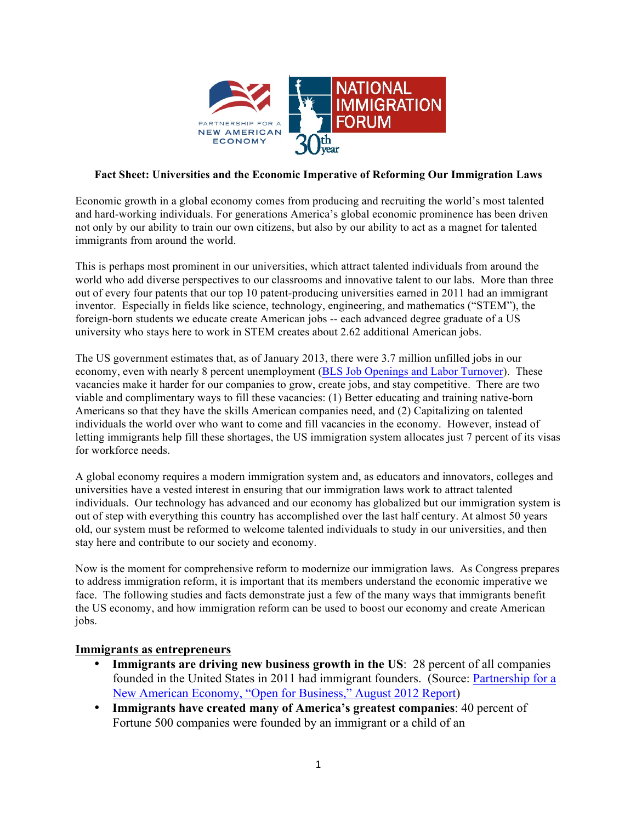

#### **Fact Sheet: Universities and the Economic Imperative of Reforming Our Immigration Laws**

Economic growth in a global economy comes from producing and recruiting the world's most talented and hard-working individuals. For generations America's global economic prominence has been driven not only by our ability to train our own citizens, but also by our ability to act as a magnet for talented immigrants from around the world.

This is perhaps most prominent in our universities, which attract talented individuals from around the world who add diverse perspectives to our classrooms and innovative talent to our labs. More than three out of every four patents that our top 10 patent-producing universities earned in 2011 had an immigrant inventor. Especially in fields like science, technology, engineering, and mathematics ("STEM"), the foreign-born students we educate create American jobs -- each advanced degree graduate of a US university who stays here to work in STEM creates about 2.62 additional American jobs.

The US government estimates that, as of January 2013, there were 3.7 million unfilled jobs in our economy, even with nearly 8 percent unemployment (BLS Job Openings and Labor Turnover). These vacancies make it harder for our companies to grow, create jobs, and stay competitive. There are two viable and complimentary ways to fill these vacancies: (1) Better educating and training native-born Americans so that they have the skills American companies need, and (2) Capitalizing on talented individuals the world over who want to come and fill vacancies in the economy. However, instead of letting immigrants help fill these shortages, the US immigration system allocates just 7 percent of its visas for workforce needs.

A global economy requires a modern immigration system and, as educators and innovators, colleges and universities have a vested interest in ensuring that our immigration laws work to attract talented individuals. Our technology has advanced and our economy has globalized but our immigration system is out of step with everything this country has accomplished over the last half century. At almost 50 years old, our system must be reformed to welcome talented individuals to study in our universities, and then stay here and contribute to our society and economy.

Now is the moment for comprehensive reform to modernize our immigration laws. As Congress prepares to address immigration reform, it is important that its members understand the economic imperative we face. The following studies and facts demonstrate just a few of the many ways that immigrants benefit the US economy, and how immigration reform can be used to boost our economy and create American jobs.

#### **Immigrants as entrepreneurs**

- **Immigrants are driving new business growth in the US**: 28 percent of all companies founded in the United States in 2011 had immigrant founders. (Source: Partnership for a New American Economy, "Open for Business," August 2012 Report)
- **Immigrants have created many of America's greatest companies**: 40 percent of Fortune 500 companies were founded by an immigrant or a child of an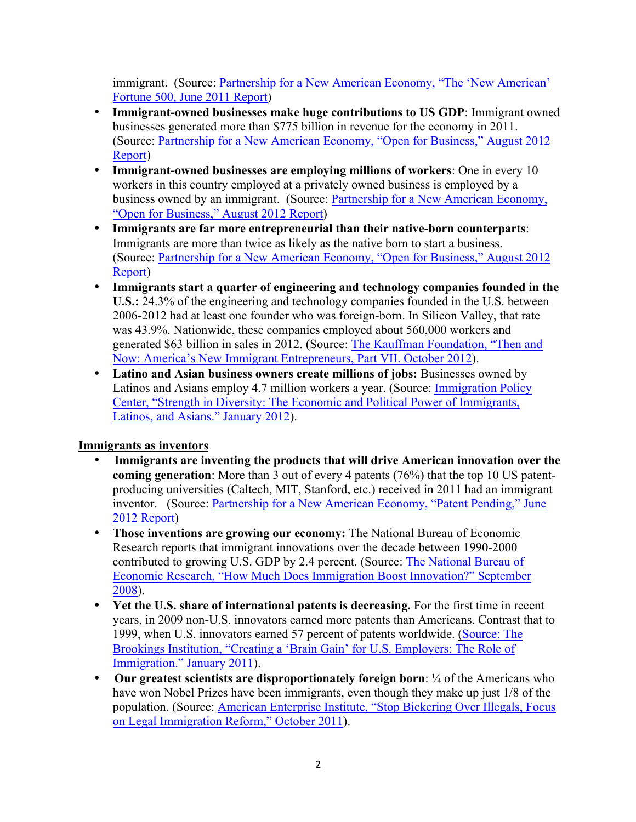immigrant. (Source: Partnership for a New American Economy, "The 'New American' Fortune 500, June 2011 Report)

- **Immigrant-owned businesses make huge contributions to US GDP**: Immigrant owned businesses generated more than \$775 billion in revenue for the economy in 2011. (Source: Partnership for a New American Economy, "Open for Business," August 2012 Report)
- **Immigrant-owned businesses are employing millions of workers**: One in every 10 workers in this country employed at a privately owned business is employed by a business owned by an immigrant. (Source: Partnership for a New American Economy, "Open for Business," August 2012 Report)
- **Immigrants are far more entrepreneurial than their native-born counterparts**: Immigrants are more than twice as likely as the native born to start a business. (Source: Partnership for a New American Economy, "Open for Business," August 2012 Report)
- **Immigrants start a quarter of engineering and technology companies founded in the U.S.:** 24.3% of the engineering and technology companies founded in the U.S. between 2006-2012 had at least one founder who was foreign-born. In Silicon Valley, that rate was 43.9%. Nationwide, these companies employed about 560,000 workers and generated \$63 billion in sales in 2012. (Source: The Kauffman Foundation, "Then and Now: America's New Immigrant Entrepreneurs, Part VII. October 2012).
- Latino and Asian business owners create millions of jobs: Businesses owned by Latinos and Asians employ 4.7 million workers a year. (Source: Immigration Policy Center, "Strength in Diversity: The Economic and Political Power of Immigrants, Latinos, and Asians." January 2012).

## **Immigrants as inventors**

- **Immigrants are inventing the products that will drive American innovation over the coming generation**: More than 3 out of every 4 patents (76%) that the top 10 US patentproducing universities (Caltech, MIT, Stanford, etc.) received in 2011 had an immigrant inventor. (Source: Partnership for a New American Economy, "Patent Pending," June 2012 Report)
- **Those inventions are growing our economy:** The National Bureau of Economic Research reports that immigrant innovations over the decade between 1990-2000 contributed to growing U.S. GDP by 2.4 percent. (Source: The National Bureau of Economic Research, "How Much Does Immigration Boost Innovation?" September 2008).
- **Yet the U.S. share of international patents is decreasing.** For the first time in recent years, in 2009 non-U.S. innovators earned more patents than Americans. Contrast that to 1999, when U.S. innovators earned 57 percent of patents worldwide. (Source: The Brookings Institution, "Creating a 'Brain Gain' for U.S. Employers: The Role of Immigration." January 2011).
- **Our greatest scientists are disproportionately foreign born**: ¼ of the Americans who have won Nobel Prizes have been immigrants, even though they make up just 1/8 of the population. (Source: American Enterprise Institute, "Stop Bickering Over Illegals, Focus on Legal Immigration Reform," October 2011).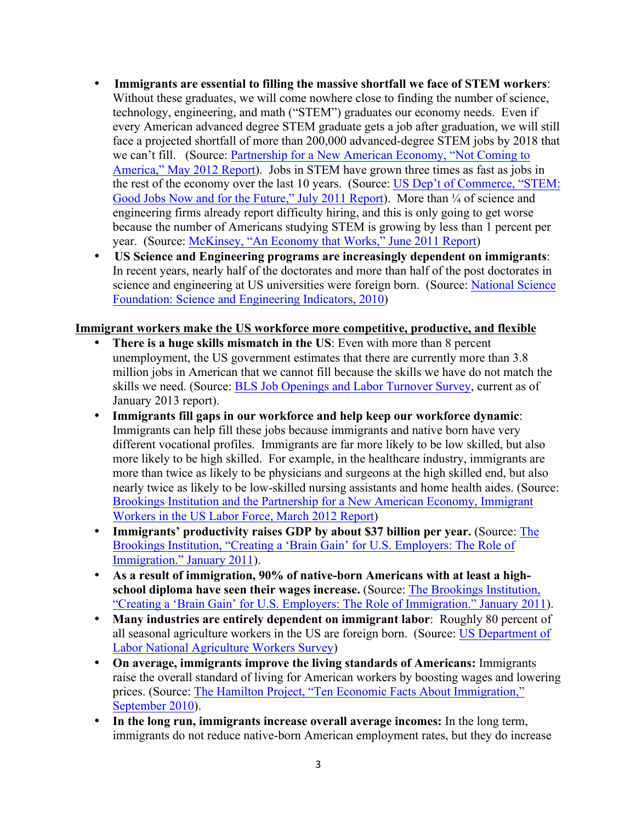- **Immigrants are essential to filling the massive shortfall we face of STEM workers**: Without these graduates, we will come nowhere close to finding the number of science, technology, engineering, and math ("STEM") graduates our economy needs. Even if every American advanced degree STEM graduate gets a job after graduation, we will still face a projected shortfall of more than 200,000 advanced-degree STEM jobs by 2018 that we can't fill. (Source: Partnership for a New American Economy, "Not Coming to America," May 2012 Report). Jobs in STEM have grown three times as fast as jobs in the rest of the economy over the last 10 years. (Source: US Dep't of Commerce, "STEM: Good Jobs Now and for the Future," July 2011 Report). More than  $\frac{1}{4}$  of science and engineering firms already report difficulty hiring, and this is only going to get worse because the number of Americans studying STEM is growing by less than 1 percent per year. (Source: McKinsey, "An Economy that Works," June 2011 Report)
- **US Science and Engineering programs are increasingly dependent on immigrants**: In recent years, nearly half of the doctorates and more than half of the post doctorates in science and engineering at US universities were foreign born. (Source: National Science Foundation: Science and Engineering Indicators, 2010)

#### **Immigrant workers make the US workforce more competitive, productive, and flexible**

- **There is a huge skills mismatch in the US**: Even with more than 8 percent unemployment, the US government estimates that there are currently more than 3.8 million jobs in American that we cannot fill because the skills we have do not match the skills we need. (Source: BLS Job Openings and Labor Turnover Survey, current as of January 2013 report).
- **Immigrants fill gaps in our workforce and help keep our workforce dynamic**: Immigrants can help fill these jobs because immigrants and native born have very different vocational profiles. Immigrants are far more likely to be low skilled, but also more likely to be high skilled. For example, in the healthcare industry, immigrants are more than twice as likely to be physicians and surgeons at the high skilled end, but also nearly twice as likely to be low-skilled nursing assistants and home health aides. (Source: Brookings Institution and the Partnership for a New American Economy, Immigrant Workers in the US Labor Force, March 2012 Report)
- **Immigrants' productivity raises GDP by about \$37 billion per year.** (Source: The Brookings Institution, "Creating a 'Brain Gain' for U.S. Employers: The Role of Immigration." January 2011).
- **As a result of immigration, 90% of native-born Americans with at least a highschool diploma have seen their wages increase.** (Source: The Brookings Institution, "Creating a 'Brain Gain' for U.S. Employers: The Role of Immigration." January 2011).
- **Many industries are entirely dependent on immigrant labor**: Roughly 80 percent of all seasonal agriculture workers in the US are foreign born. (Source: US Department of Labor National Agriculture Workers Survey)
- **On average, immigrants improve the living standards of Americans:** Immigrants raise the overall standard of living for American workers by boosting wages and lowering prices. (Source: The Hamilton Project, "Ten Economic Facts About Immigration," September 2010).
- **In the long run, immigrants increase overall average incomes:** In the long term, immigrants do not reduce native-born American employment rates, but they do increase